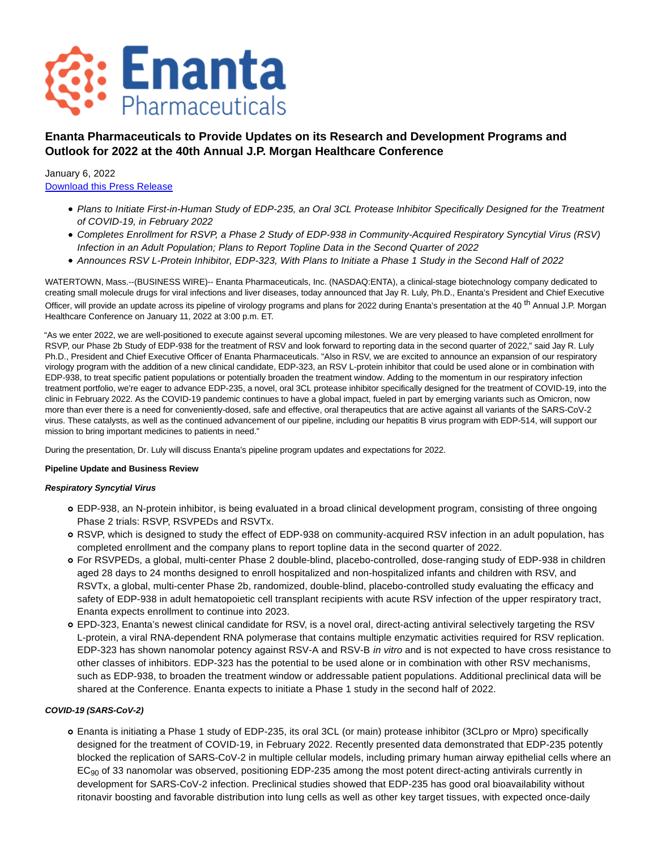

# **Enanta Pharmaceuticals to Provide Updates on its Research and Development Programs and Outlook for 2022 at the 40th Annual J.P. Morgan Healthcare Conference**

January 6, 2022 [Download this Press Release](https://ir.enanta.com/s22.q4cdn.com/306858242/files/doc_news/Enanta-Pharmaceuticals-to-Provide-Updates-on-its-Research-and-Development-Programs-and-Outlook-for-2022-at-the-40th-Annual-J.P.-Morga-P3ENT.pdf)

- Plans to Initiate First-in-Human Study of EDP-235, an Oral 3CL Protease Inhibitor Specifically Designed for the Treatment of COVID-19, in February 2022
- Completes Enrollment for RSVP, a Phase 2 Study of EDP-938 in Community-Acquired Respiratory Syncytial Virus (RSV) Infection in an Adult Population; Plans to Report Topline Data in the Second Quarter of 2022
- Announces RSV L-Protein Inhibitor, EDP-323, With Plans to Initiate a Phase 1 Study in the Second Half of 2022

WATERTOWN, Mass.--(BUSINESS WIRE)-- Enanta Pharmaceuticals, Inc. (NASDAQ:ENTA), a clinical-stage biotechnology company dedicated to creating small molecule drugs for viral infections and liver diseases, today announced that Jay R. Luly, Ph.D., Enanta's President and Chief Executive Officer, will provide an update across its pipeline of virology programs and plans for 2022 during Enanta's presentation at the 40<sup>th</sup> Annual J.P. Morgan Healthcare Conference on January 11, 2022 at 3:00 p.m. ET.

"As we enter 2022, we are well-positioned to execute against several upcoming milestones. We are very pleased to have completed enrollment for RSVP, our Phase 2b Study of EDP-938 for the treatment of RSV and look forward to reporting data in the second quarter of 2022," said Jay R. Luly Ph.D., President and Chief Executive Officer of Enanta Pharmaceuticals. "Also in RSV, we are excited to announce an expansion of our respiratory virology program with the addition of a new clinical candidate, EDP-323, an RSV L-protein inhibitor that could be used alone or in combination with EDP-938, to treat specific patient populations or potentially broaden the treatment window. Adding to the momentum in our respiratory infection treatment portfolio, we're eager to advance EDP-235, a novel, oral 3CL protease inhibitor specifically designed for the treatment of COVID-19, into the clinic in February 2022. As the COVID-19 pandemic continues to have a global impact, fueled in part by emerging variants such as Omicron, now more than ever there is a need for conveniently-dosed, safe and effective, oral therapeutics that are active against all variants of the SARS-CoV-2 virus. These catalysts, as well as the continued advancement of our pipeline, including our hepatitis B virus program with EDP-514, will support our mission to bring important medicines to patients in need."

During the presentation, Dr. Luly will discuss Enanta's pipeline program updates and expectations for 2022.

## **Pipeline Update and Business Review**

## **Respiratory Syncytial Virus**

- EDP-938, an N-protein inhibitor, is being evaluated in a broad clinical development program, consisting of three ongoing Phase 2 trials: RSVP, RSVPEDs and RSVTx.
- RSVP, which is designed to study the effect of EDP-938 on community-acquired RSV infection in an adult population, has completed enrollment and the company plans to report topline data in the second quarter of 2022.
- For RSVPEDs, a global, multi-center Phase 2 double-blind, placebo-controlled, dose-ranging study of EDP-938 in children aged 28 days to 24 months designed to enroll hospitalized and non-hospitalized infants and children with RSV, and RSVTx, a global, multi-center Phase 2b, randomized, double-blind, placebo-controlled study evaluating the efficacy and safety of EDP-938 in adult hematopoietic cell transplant recipients with acute RSV infection of the upper respiratory tract, Enanta expects enrollment to continue into 2023.
- EPD-323, Enanta's newest clinical candidate for RSV, is a novel oral, direct-acting antiviral selectively targeting the RSV L-protein, a viral RNA-dependent RNA polymerase that contains multiple enzymatic activities required for RSV replication. EDP-323 has shown nanomolar potency against RSV-A and RSV-B in vitro and is not expected to have cross resistance to other classes of inhibitors. EDP-323 has the potential to be used alone or in combination with other RSV mechanisms, such as EDP-938, to broaden the treatment window or addressable patient populations. Additional preclinical data will be shared at the Conference. Enanta expects to initiate a Phase 1 study in the second half of 2022.

## **COVID-19 (SARS-CoV-2)**

Enanta is initiating a Phase 1 study of EDP-235, its oral 3CL (or main) protease inhibitor (3CLpro or Mpro) specifically designed for the treatment of COVID-19, in February 2022. Recently presented data demonstrated that EDP-235 potently blocked the replication of SARS-CoV-2 in multiple cellular models, including primary human airway epithelial cells where an  $EC_{90}$  of 33 nanomolar was observed, positioning EDP-235 among the most potent direct-acting antivirals currently in development for SARS-CoV-2 infection. Preclinical studies showed that EDP-235 has good oral bioavailability without ritonavir boosting and favorable distribution into lung cells as well as other key target tissues, with expected once-daily